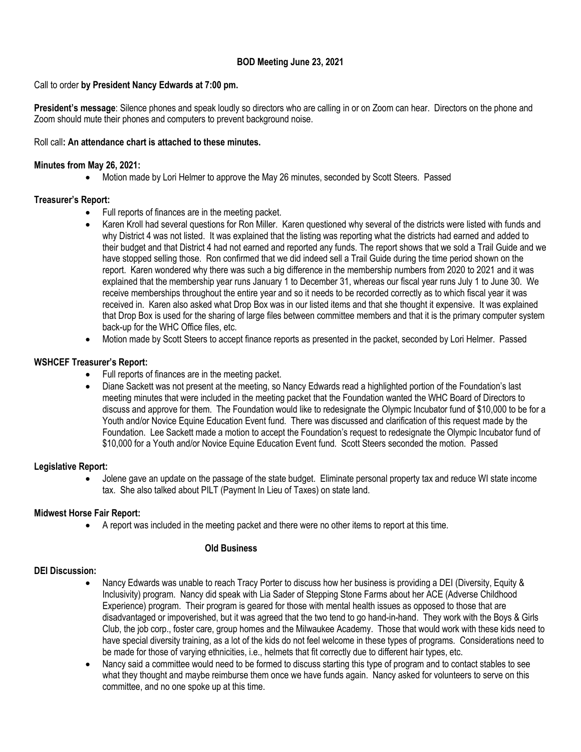## **BOD Meeting June 23, 2021**

## Call to order **by President Nancy Edwards at 7:00 pm.**

**President's message**: Silence phones and speak loudly so directors who are calling in or on Zoom can hear. Directors on the phone and Zoom should mute their phones and computers to prevent background noise.

#### Roll call**: An attendance chart is attached to these minutes.**

#### **Minutes from May 26, 2021:**

• Motion made by Lori Helmer to approve the May 26 minutes, seconded by Scott Steers. Passed

## **Treasurer's Report:**

- Full reports of finances are in the meeting packet.
- Karen Kroll had several questions for Ron Miller. Karen questioned why several of the districts were listed with funds and why District 4 was not listed. It was explained that the listing was reporting what the districts had earned and added to their budget and that District 4 had not earned and reported any funds. The report shows that we sold a Trail Guide and we have stopped selling those. Ron confirmed that we did indeed sell a Trail Guide during the time period shown on the report. Karen wondered why there was such a big difference in the membership numbers from 2020 to 2021 and it was explained that the membership year runs January 1 to December 31, whereas our fiscal year runs July 1 to June 30. We receive memberships throughout the entire year and so it needs to be recorded correctly as to which fiscal year it was received in. Karen also asked what Drop Box was in our listed items and that she thought it expensive. It was explained that Drop Box is used for the sharing of large files between committee members and that it is the primary computer system back-up for the WHC Office files, etc.
- Motion made by Scott Steers to accept finance reports as presented in the packet, seconded by Lori Helmer. Passed

## **WSHCEF Treasurer's Report:**

- Full reports of finances are in the meeting packet.
- Diane Sackett was not present at the meeting, so Nancy Edwards read a highlighted portion of the Foundation's last meeting minutes that were included in the meeting packet that the Foundation wanted the WHC Board of Directors to discuss and approve for them. The Foundation would like to redesignate the Olympic Incubator fund of \$10,000 to be for a Youth and/or Novice Equine Education Event fund. There was discussed and clarification of this request made by the Foundation. Lee Sackett made a motion to accept the Foundation's request to redesignate the Olympic Incubator fund of \$10,000 for a Youth and/or Novice Equine Education Event fund. Scott Steers seconded the motion. Passed

## **Legislative Report:**

• Jolene gave an update on the passage of the state budget. Eliminate personal property tax and reduce WI state income tax. She also talked about PILT (Payment In Lieu of Taxes) on state land.

## **Midwest Horse Fair Report:**

• A report was included in the meeting packet and there were no other items to report at this time.

## **Old Business**

## **DEI Discussion:**

- Nancy Edwards was unable to reach Tracy Porter to discuss how her business is providing a DEI (Diversity, Equity & Inclusivity) program. Nancy did speak with Lia Sader of Stepping Stone Farms about her ACE (Adverse Childhood Experience) program. Their program is geared for those with mental health issues as opposed to those that are disadvantaged or impoverished, but it was agreed that the two tend to go hand-in-hand. They work with the Boys & Girls Club, the job corp., foster care, group homes and the Milwaukee Academy. Those that would work with these kids need to have special diversity training, as a lot of the kids do not feel welcome in these types of programs. Considerations need to be made for those of varying ethnicities, i.e., helmets that fit correctly due to different hair types, etc.
- Nancy said a committee would need to be formed to discuss starting this type of program and to contact stables to see what they thought and maybe reimburse them once we have funds again. Nancy asked for volunteers to serve on this committee, and no one spoke up at this time.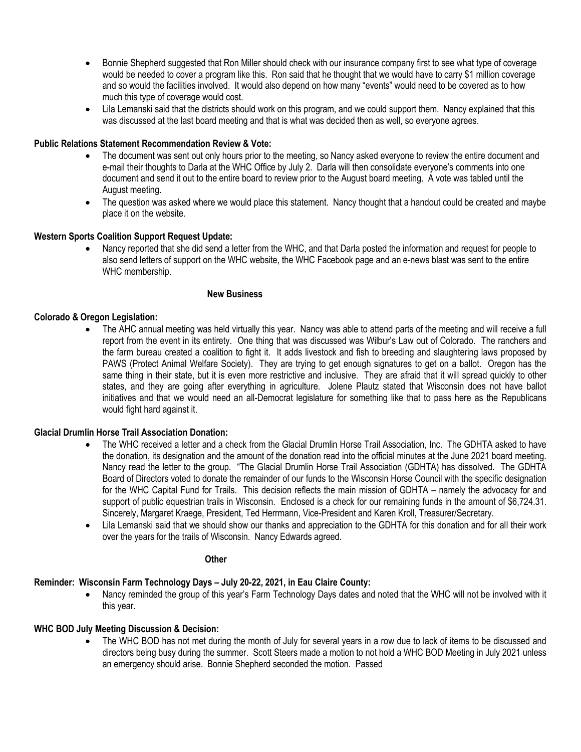- Bonnie Shepherd suggested that Ron Miller should check with our insurance company first to see what type of coverage would be needed to cover a program like this. Ron said that he thought that we would have to carry \$1 million coverage and so would the facilities involved. It would also depend on how many "events" would need to be covered as to how much this type of coverage would cost.
- Lila Lemanski said that the districts should work on this program, and we could support them. Nancy explained that this was discussed at the last board meeting and that is what was decided then as well, so everyone agrees.

#### **Public Relations Statement Recommendation Review & Vote:**

- The document was sent out only hours prior to the meeting, so Nancy asked everyone to review the entire document and e-mail their thoughts to Darla at the WHC Office by July 2. Darla will then consolidate everyone's comments into one document and send it out to the entire board to review prior to the August board meeting. A vote was tabled until the August meeting.
- The question was asked where we would place this statement. Nancy thought that a handout could be created and maybe place it on the website.

#### **Western Sports Coalition Support Request Update:**

• Nancy reported that she did send a letter from the WHC, and that Darla posted the information and request for people to also send letters of support on the WHC website, the WHC Facebook page and an e-news blast was sent to the entire WHC membership.

#### **New Business**

#### **Colorado & Oregon Legislation:**

The AHC annual meeting was held virtually this year. Nancy was able to attend parts of the meeting and will receive a full report from the event in its entirety. One thing that was discussed was Wilbur's Law out of Colorado. The ranchers and the farm bureau created a coalition to fight it. It adds livestock and fish to breeding and slaughtering laws proposed by PAWS (Protect Animal Welfare Society). They are trying to get enough signatures to get on a ballot. Oregon has the same thing in their state, but it is even more restrictive and inclusive. They are afraid that it will spread quickly to other states, and they are going after everything in agriculture. Jolene Plautz stated that Wisconsin does not have ballot initiatives and that we would need an all-Democrat legislature for something like that to pass here as the Republicans would fight hard against it.

#### **Glacial Drumlin Horse Trail Association Donation:**

- The WHC received a letter and a check from the Glacial Drumlin Horse Trail Association, Inc. The GDHTA asked to have the donation, its designation and the amount of the donation read into the official minutes at the June 2021 board meeting. Nancy read the letter to the group. "The Glacial Drumlin Horse Trail Association (GDHTA) has dissolved. The GDHTA Board of Directors voted to donate the remainder of our funds to the Wisconsin Horse Council with the specific designation for the WHC Capital Fund for Trails. This decision reflects the main mission of GDHTA – namely the advocacy for and support of public equestrian trails in Wisconsin. Enclosed is a check for our remaining funds in the amount of \$6,724.31. Sincerely, Margaret Kraege, President, Ted Herrmann, Vice-President and Karen Kroll, Treasurer/Secretary.
- Lila Lemanski said that we should show our thanks and appreciation to the GDHTA for this donation and for all their work over the years for the trails of Wisconsin. Nancy Edwards agreed.

#### **Other**

# **Reminder: Wisconsin Farm Technology Days – July 20-22, 2021, in Eau Claire County:**

• Nancy reminded the group of this year's Farm Technology Days dates and noted that the WHC will not be involved with it this year.

# **WHC BOD July Meeting Discussion & Decision:**

• The WHC BOD has not met during the month of July for several years in a row due to lack of items to be discussed and directors being busy during the summer. Scott Steers made a motion to not hold a WHC BOD Meeting in July 2021 unless an emergency should arise. Bonnie Shepherd seconded the motion. Passed